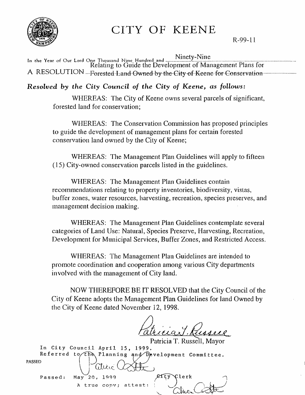

# CITY OF KEENE

R-99-11

. Ninety-Nine In the Year of OUf Lord One Thousand NIne Hundred and ......................................................................................................... . Relating to Guide the Development of Management Plans for A RESOLUTION ....Forested Land Owned by the City of Keene for Conservation .........

# *Resolved by the City Council of the City of Keene, as follows:*

WHEREAS: The City of Keene owns several parcels of significant, forested land for conservation;

WHEREAS: The Conservation Conunission has proposed principles to guide the development of management plans for certain forested conservation land owned by the City of Keene;

WHEREAS: The Management Plan Guidelines will apply to fifteen (15) City-owned conservation parcels listed in the guidelines.

WHEREAS: The Management Plan Guidelines contain recommendations relating to property inventories, biodiversity, vistas, buffer zones, water resources, harvesting, recreation, species preserves, and management decision making.

WHEREAS: The Management Plan Guidelines contemplate several categories of Land Use: Natural, Species Preserve, Harvesting, Recreation, Development for Municipal Services, Buffer Zones, and Restricted Access.

WHEREAS: The Management Plan Guidelines are intended to promote coordination and cooperation among various City departments involved with the management of City land.

NOW THEREFORE BE IT RESOLVED that the City Council of the City of Keene adopts the Management Plan Guidelines for land Owned by the City of Keene dated November 12, 1998.

',~

<u>Fatherant Kussell</u>

Patricia T. Russell, Mayor In City Council April 15, 1999. Referred to  $\overline{th}$  Planning and Development Committee. Passed:  $\cup$  $May^220, 1999$ Patricia 1. Kus<br>15, 1999.<br>ing and Development C<br>Controller  $R$ ity A true conv; attest: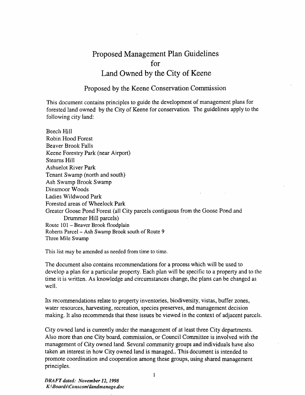# Proposed Management Plan Guidelines for Land Owned by the City of Keene

#### Proposed by the Keene Conservation Commission

This document contains principles to guide the development of management plans for forested land owned by the City of Keene for conservation. The guidelines apply to the following city land:

Beech Hill Robin Hood Forest Beaver Brook Falls Keene Forestry Park (near Airport) Stearns Hill Ashuelot River Park Tenant Swamp (north and south) Ash Swamp Brook Swamp *Dinsmoor* Woods Ladies Wildwood Park Forested areas of Wheelock Park Greater Goose Pond Forest (all City parcels contiguous from the Goose Pond and Drummer Hill parcels) Route 101 - Beaver Brook floodplain Roberts Parcel- Ash Swamp Brook south of Route 9 Three Mile Swamp

This list may be amended as needed from time to time.

The document also contains recommendations for a process which will be used to develop a plan for a particular property. Each plan will be specific to a property and to the time it is written. As knowledge and circumstances change, the plans can be changed as well.

Its recommendations relate to property inventories, biodiversity, vistas, buffer zones, water resources, harvesting, recreation, species preserves, and management decision making. It also recommends that these issues be viewed in the context of adjacent parcels.

City owned land is currently under the management of at least three City departments. Also more than one City board, commission, or Council Committee is involved with the management of City owned land. Several community groups and individuals have also taken an interest in how City owned 1and is managed .. This document is intended to promote coordination and cooperation among these groups, using shared management principles. .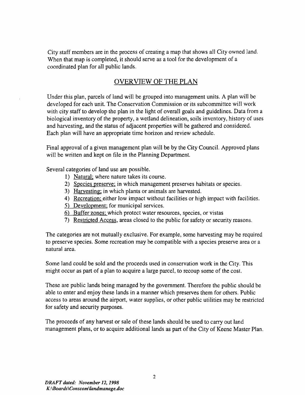City staff members are in the process of creating a map that shows all City owned land. When that map is completed, it should serve as a tool for the development of a coordinated plan for all public lands.

# OVERVIEW OF THE PLAN

Under this plan, parcels of land will be grouped into management units. A plan will be developed for each unit. The Conservation Commission or its subcommittee will work with city staff to develop the plan in the light of overall goals and guidelines. Data from a biological inventory of the property, a wetland delineation, soils inventory, history of uses and harvesting, and the status of adjacent properties will be gathered and considered. Each plan will have an appropriate time horizon and review schedule.

Final approval of a given management plan will be by the City Council. Approved plans will be written and kept on file in the Planning Department.

Several categories of land use are possible.

- 1) Natural; where nature takes its course.
- 2) Species preserve; in which management preserves habitats or species.
- 3) Harvesting; in which plants or animals are harvested.
- 4) Recreation; either low impact without facilities or high impact with facilities.
- 5) Development; for municipal services.
- 6) Buffer zones; which protect water resources, species, or vistas
- 7) Restricted Access, areas closed to the public for safety or security reasons.

The categories are not mutually exclusive. For example, some harvesting may be required to preserve species. Some recreation may be compatible with a species preserve area or a natural area.

Some land could be sold and the proceeds used in conservation work in the City. This might occur as part of a plan to acquire a large parcel, to recoup some of the cost.

These are public lands being managed by the government. Therefore the public should be able to enter and enjoy these lands in a manner which preserves them for others. Public access to areas around the airport, water supplies, or other public utilities may be restricted for safety and security purposes.

The proceeds of any harvest or sale of these lands should be used to carry out land management plans, or to acquire additional lands as part of the City of Keene Master Plan.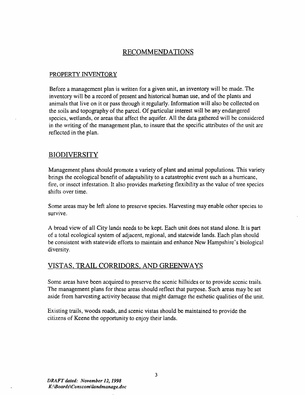### RECOMMENDATIONS

#### PROPERTY INVENTORY

Before a management plan is written for a given unit, an inventory will be made. The inventory will be a record of present and historical human use, and of the plants and animals that live on it or pass through it regularly. Information will also be collected on the soils and topography of the parcel. Of particular interest will be any endangered species, wetlands, or areas that affect the aquifer. All the data gathered will be considered in the writing of the management plan, to insure that the specific attributes of the unit are reflected in the plan.

#### BIODIVERSITY

Management plans should promote a variety of plant and animal populations. This variety brings the ecological benefit of adaptability to a catastrophic event such as a hurricane, fire, or insect infestation. It also provides marketing flexibility as the value of tree species shifts over time.

Some areas may be left alone to preserve species. Harvesting may enable other species to survive.

A broad view of all City lands needs to be kept. Each unit does not stand alone. It is part of a total ecological system of adjacent, regional, and statewide lands. Each plan should be consistent with statewide efforts to maintain and enhance New Hampshire's biological diversity.

#### VISTAS, TRAIL CORRIDORS, AND GREENWAYS

Some areas have been acquired to preserve the scenic hillsides or to provide scenic trails. The management plans for these areas should reflect that purpose. Such areas may be set aside from harvesting activity because that might damage the esthetic qualities of the unit.

Existing trails, woods roads, and scenic vistas should be maintained to provide the citizens of Keene the opportunity to enjoy their lands.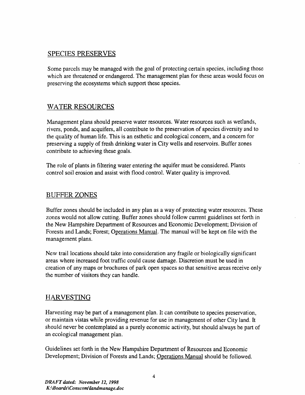# SPECIES PRESERVES

Some parcels may be managed with the goal of protecting certain species, including those which are threatened or endangered. The management plan for these areas would focus on preserving the ecosystems which support these species.

# WATER RESOURCES

Management plans should preserve water resources. Water resources such as wetlands, rivers, ponds, and acquifers, all contribute to the preservation of species diversity and to the quality of human life. This is an esthetic and ecological concern, and a concern for preserving a supply of fresh drinking water in City wells and reservoirs. Buffer zones contribute to achieving these goals.

The role of plants in filtering water entering the aquifer must be considered. Plants control soil erosion and assist with flood control. Water quality is improved.

#### BUFFER ZONES

Buffer zones should be included in any plan as a way of protecting water resources. These zones would not allow cutting. Buffer zones should follow current guidelines set forth in the New Hampshire Department of Resources and Economic Development; Division of Forests and Lands; Forest; Operations Manual. The manual will be kept on file with the management plans.

New trail locations should take into consideration any fragile or biologically significant areas where increased foot traffic could cause damage. Discretion must be used in creation of any maps or brochures of park open spaces so that sensitive areas receive only the number of visitors they can handle.

# HARVESTING

Harvesting may be part of a management plan. It can contribute to species preservation, or maintain vistas while providing revenue for use in management of other City land. It should never be contemplated as a purely economic activity, but should always be part of an ecological management plan.

Guidelines set forth in the New Hampshire Department of Resources and Economic Development; Division of Forests and Lands; Operations Manual should be followed.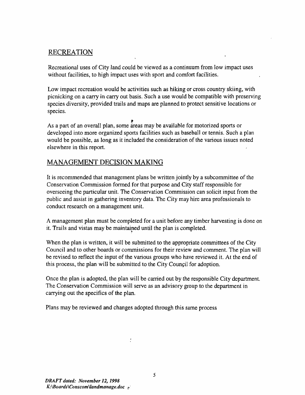# RECREATION

Recreational uses of City land could be viewed as a continuum from low impact uses without facilities, to high impact uses with sport and comfort facilities.

Low impact recreation would be activities such as hiking or cross country skiing, with picnicking on a carry in carry out basis. Such a use would be compatible with preserving species diversity, provided trails and maps are planned to protect sensitive locations or species.

As a part of an overall plan, some areas may be available for motorized sports or developed into more organized sports facilities such as basebal1 or tennis. Such a plan would be possible, as long as it included the consideration of the various issues noted elsewhere in this report.

#### MANAGEMENT DECISION MAKING

It is recommended that management plans be written jointly by a subcommittee of the Conservation Commission formed for that purpose and City staff responsible for overseeing the particular unit. The Conservation Commission can solicit input from the public and assist in gathering inventory data. The City may hire area professionals to conduct research on a management unit.

A management plan must be completed for a unit before any timber harvesting is done on it. Trails and vistas may be maintained until the plan is completed.

When the plan is written, it will be submitted to the appropriate committees of the City Council and to other boards or commissions for their review and comment. The plan will be revised to reflect the input of the various groups who have reviewed it. At the end of this process, the plan will be submitted to the City Council for adoption.

Once the plan is adopted, the plan will be carried out by the responsible City department. The Conservation Commission will serve as an advisory group to the department in carrying out the specifics of the plan.

Plans may be reviewed and changes adopted through this same process